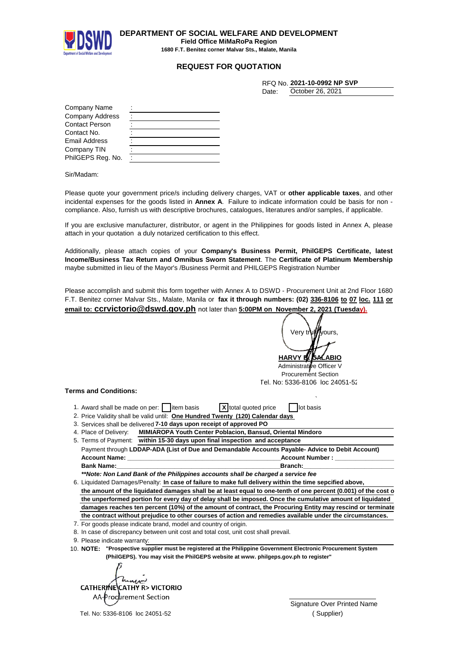

**DEPARTMENT OF SOCIAL WELFARE AND DEVELOPMENT Field Office MiMaRoPa Region**

**1680 F.T. Benitez corner Malvar Sts., Malate, Manila**

## **REQUEST FOR QUOTATION**

|       | RFQ No. 2021-10-0992 NP SVP |
|-------|-----------------------------|
| Date: | October 26, 2021            |

| Company Name      |  |
|-------------------|--|
| Company Address   |  |
| Contact Person    |  |
| Contact No.       |  |
| Email Address     |  |
| Company TIN       |  |
| PhilGEPS Reg. No. |  |

Sir/Madam:

Please quote your government price/s including delivery charges, VAT or **other applicable taxes**, and other incidental expenses for the goods listed in **Annex A**. Failure to indicate information could be basis for non compliance. Also, furnish us with descriptive brochures, catalogues, literatures and/or samples, if applicable.

If you are exclusive manufacturer, distributor, or agent in the Philippines for goods listed in Annex A, please attach in your quotation a duly notarized certification to this effect.

Additionally, please attach copies of your **Company's Business Permit, PhilGEPS Certificate, latest Income/Business Tax Return and Omnibus Sworn Statement**. The **Certificate of Platinum Membership** maybe submitted in lieu of the Mayor's /Business Permit and PHILGEPS Registration Number

Please accomplish and submit this form together with Annex A to DSWD - Procurement Unit at 2nd Floor 1680 F.T. Benitez corner Malvar Sts., Malate, Manila or **fax it through numbers: (02) 336-8106 to 07 loc. 111 or email to: ccrvictorio@dswd.gov.ph** not later than **5:00PM on November 2, 2021 (Tuesday).**

**HARVY B** Administrative Officer V Procurement Section ` 1. Award shall be made on per: item basis **X** total quoted price in lot basis 2. Price Validity shall be valid until: **One Hundred Twenty (120) Calendar days** 3. Services shall be delivered 7-10 days upon receipt of approved PO Payment through **LDDAP-ADA (List of Due and Demandable Accounts Payable- Advice to Debit Account) Account Name: \_\_\_\_\_\_\_\_\_\_\_\_\_\_\_\_\_\_\_\_\_\_\_\_\_\_\_\_\_\_\_\_\_\_\_\_\_\_\_\_\_\_\_\_\_Account Number : \_\_\_\_\_\_\_\_\_\_\_\_\_\_\_\_\_\_\_\_\_\_\_\_\_\_\_\_\_** Very t Tel. No: 5336-8106 loc 24051-52 4. Place of Delivery: **MIMIAROPA Youth Center Poblacion, Bansud, Oriental Mindoro** 5. Terms of Payment: **within 15-30 days upon final inspection and acceptance**

**Bank Name:\_\_\_\_\_\_\_\_\_\_\_\_\_\_\_\_\_\_\_\_\_\_\_\_\_\_\_\_\_\_\_\_\_\_\_\_\_\_\_\_\_\_\_\_\_\_\_\_Branch:\_\_\_\_\_\_\_\_\_\_\_\_\_\_\_\_\_\_\_\_\_\_\_\_\_\_\_\_\_\_\_\_\_\_\_\_\_\_** *\*\*Note: Non Land Bank of the Philippines accounts shall be charged a service fee*

6. Liquidated Damages/Penalty: In case of failure to make full delivery within the time sepcified above, the amount of the liquidated damages shall be at least equal to one-tenth of one percent (0.001) of the cost of **the unperformed portion for every day of delay shall be imposed. Once the cumulative amount of liquidated damages reaches ten percent (10%) of the amount of contract, the Procuring Entity may rescind or terminate the contract without prejudice to other courses of action and remedies available under the circumstances.**

7. For goods please indicate brand, model and country of origin.

8. In case of discrepancy between unit cost and total cost, unit cost shall prevail.

9. Please indicate warranty:

**Terms and Conditions:**

10. **"Prospective supplier must be registered at the Philippine Government Electronic Procurement System NOTE: (PhilGEPS). You may visit the PhilGEPS website at www. philgeps.gov.ph to register"**

CATHERINE CATHY R> VICTORIO AA-Procurement Section  $\cup$ 

Tel. No: 5336-8106 loc 24051-52